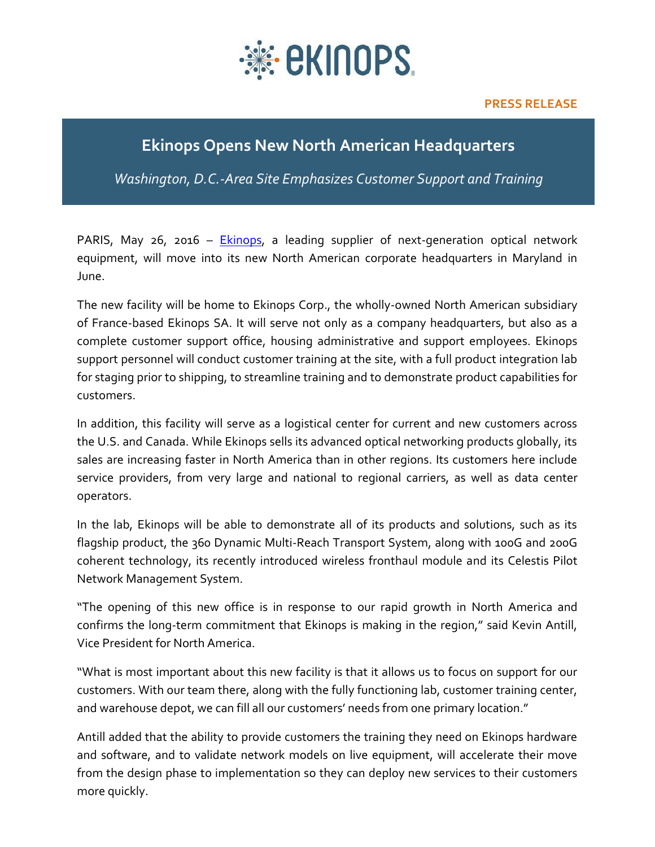

## **Ekinops Opens New North American Headquarters**

*Washington, D.C.-Area Site Emphasizes Customer Support and Training*

PARIS, May  $26$ , 2016 – **Ekinops**, a leading supplier of next-generation optical network equipment, will move into its new North American corporate headquarters in Maryland in June.

The new facility will be home to Ekinops Corp., the wholly-owned North American subsidiary of France-based Ekinops SA. It will serve not only as a company headquarters, but also as a complete customer support office, housing administrative and support employees. Ekinops support personnel will conduct customer training at the site, with a full product integration lab for staging prior to shipping, to streamline training and to demonstrate product capabilities for customers.

In addition, this facility will serve as a logistical center for current and new customers across the U.S. and Canada. While Ekinops sells its advanced optical networking products globally, its sales are increasing faster in North America than in other regions. Its customers here include service providers, from very large and national to regional carriers, as well as data center operators.

In the lab, Ekinops will be able to demonstrate all of its products and solutions, such as its flagship product, the 360 Dynamic Multi-Reach Transport System, along with 100G and 200G coherent technology, its recently introduced wireless fronthaul module and its Celestis Pilot Network Management System.

"The opening of this new office is in response to our rapid growth in North America and confirms the long-term commitment that Ekinops is making in the region," said Kevin Antill, Vice President for North America.

"What is most important about this new facility is that it allows us to focus on support for our customers. With our team there, along with the fully functioning lab, customer training center, and warehouse depot, we can fill all our customers' needs from one primary location."

Antill added that the ability to provide customers the training they need on Ekinops hardware and software, and to validate network models on live equipment, will accelerate their move from the design phase to implementation so they can deploy new services to their customers more quickly.